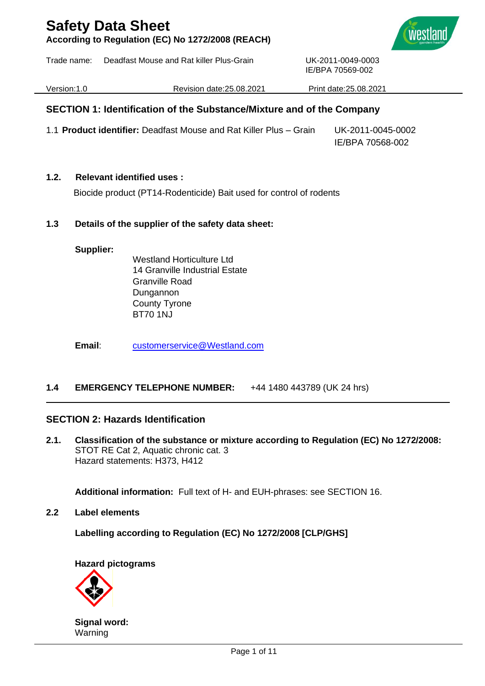**According to Regulation (EC) No 1272/2008 (REACH)**





IE/BPA 70569-002

Version:1.0 Revision date:25.08.2021 Print date:25.08.2021

### **SECTION 1: Identification of the Substance/Mixture and of the Company**

1.1 **Product identifier:** Deadfast Mouse and Rat Killer Plus – Grain UK-2011-0045-0002 IE/BPA 70568-002

### **1.2. Relevant identified uses :**

Biocide product (PT14-Rodenticide) Bait used for control of rodents

### **1.3 Details of the supplier of the safety data sheet:**

#### **Supplier:**

Westland Horticulture Ltd. 14 Granville Industrial Estate Granville Road Dungannon County Tyrone BT70 1NJ

**Email**: [customerservice@Westland.com](mailto:customerservice@Westland.com)

### **1.4 EMERGENCY TELEPHONE NUMBER:** +44 1480 443789 (UK 24 hrs)

### **SECTION 2: Hazards Identification**

**2.1. Classification of the substance or mixture according to Regulation (EC) No 1272/2008:** STOT RE Cat 2, Aquatic chronic cat. 3 Hazard statements: H373, H412

**Additional information:** Full text of H- and EUH-phrases: see SECTION 16.

**2.2 Label elements**

**Labelling according to Regulation (EC) No 1272/2008 [CLP/GHS]**

**Hazard pictograms**



**Signal word:** Warning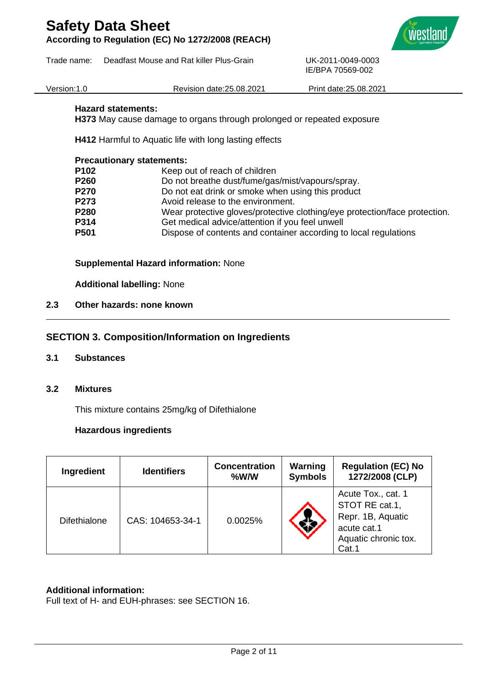**According to Regulation (EC) No 1272/2008 (REACH)**

Trade name: Deadfast Mouse and Rat killer Plus-Grain UK-2011-0049-0003



Version:1.0 Revision date:25.08.2021 Print date:25.08.2021

IE/BPA 70569-002

### **Hazard statements:**

**H373** May cause damage to organs through prolonged or repeated exposure

**H412** Harmful to Aquatic life with long lasting effects

#### **Precautionary statements:**

| P102 | Keep out of reach of children                                              |
|------|----------------------------------------------------------------------------|
| P260 | Do not breathe dust/fume/gas/mist/vapours/spray.                           |
| P270 | Do not eat drink or smoke when using this product                          |
| P273 | Avoid release to the environment.                                          |
| P280 | Wear protective gloves/protective clothing/eye protection/face protection. |
| P314 | Get medical advice/attention if you feel unwell                            |
| P501 | Dispose of contents and container according to local regulations           |
|      |                                                                            |

### **Supplemental Hazard information:** None

**Additional labelling:** None

### **2.3 Other hazards: none known**

### **SECTION 3. Composition/Information on Ingredients**

- **3.1 Substances**
- **3.2 Mixtures**

This mixture contains 25mg/kg of Difethialone

### **Hazardous ingredients**

| Ingredient          | <b>Identifiers</b> | <b>Concentration</b><br>%W/W | Warning<br><b>Symbols</b> | <b>Regulation (EC) No</b><br>1272/2008 (CLP)                                                              |
|---------------------|--------------------|------------------------------|---------------------------|-----------------------------------------------------------------------------------------------------------|
| <b>Difethialone</b> | CAS: 104653-34-1   | 0.0025%                      |                           | Acute Tox., cat. 1<br>STOT RE cat.1,<br>Repr. 1B, Aquatic<br>acute cat.1<br>Aquatic chronic tox.<br>Cat.1 |

### **Additional information:**

Full text of H- and EUH-phrases: see SECTION 16.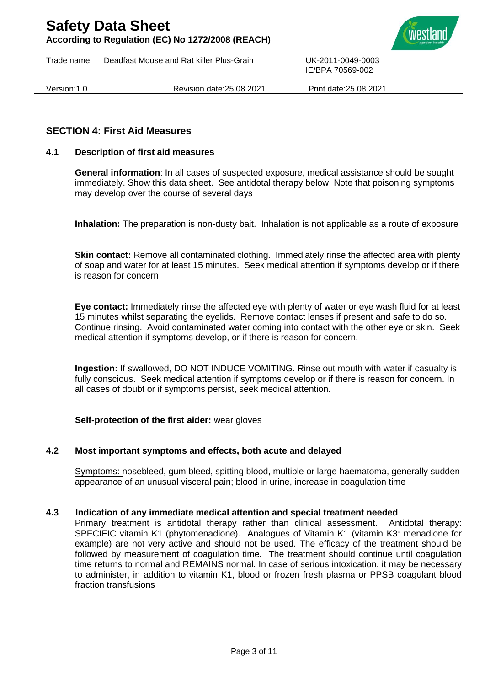**According to Regulation (EC) No 1272/2008 (REACH)**

Trade name: Deadfast Mouse and Rat killer Plus-Grain UK-2011-0049-0003



Version:1.0 Revision date:25.08.2021 Print date:25.08.2021

IE/BPA 70569-002

### **SECTION 4: First Aid Measures**

### **4.1 Description of first aid measures**

**General information**: In all cases of suspected exposure, medical assistance should be sought immediately. Show this data sheet. See antidotal therapy below. Note that poisoning symptoms may develop over the course of several days

**Inhalation:** The preparation is non-dusty bait. Inhalation is not applicable as a route of exposure

**Skin contact:** Remove all contaminated clothing. Immediately rinse the affected area with plenty of soap and water for at least 15 minutes. Seek medical attention if symptoms develop or if there is reason for concern

**Eye contact:** Immediately rinse the affected eye with plenty of water or eye wash fluid for at least 15 minutes whilst separating the eyelids. Remove contact lenses if present and safe to do so. Continue rinsing. Avoid contaminated water coming into contact with the other eye or skin. Seek medical attention if symptoms develop, or if there is reason for concern.

**Ingestion:** If swallowed, DO NOT INDUCE VOMITING. Rinse out mouth with water if casualty is fully conscious. Seek medical attention if symptoms develop or if there is reason for concern. In all cases of doubt or if symptoms persist, seek medical attention.

### **Self-protection of the first aider:** wear gloves

#### **4.2 Most important symptoms and effects, both acute and delayed**

Symptoms: nosebleed, gum bleed, spitting blood, multiple or large haematoma, generally sudden appearance of an unusual visceral pain; blood in urine, increase in coagulation time

#### **4.3 Indication of any immediate medical attention and special treatment needed**

Primary treatment is antidotal therapy rather than clinical assessment. Antidotal therapy: SPECIFIC vitamin K1 (phytomenadione). Analogues of Vitamin K1 (vitamin K3: menadione for example) are not very active and should not be used. The efficacy of the treatment should be followed by measurement of coagulation time. The treatment should continue until coagulation time returns to normal and REMAINS normal. In case of serious intoxication, it may be necessary to administer, in addition to vitamin K1, blood or frozen fresh plasma or PPSB coagulant blood fraction transfusions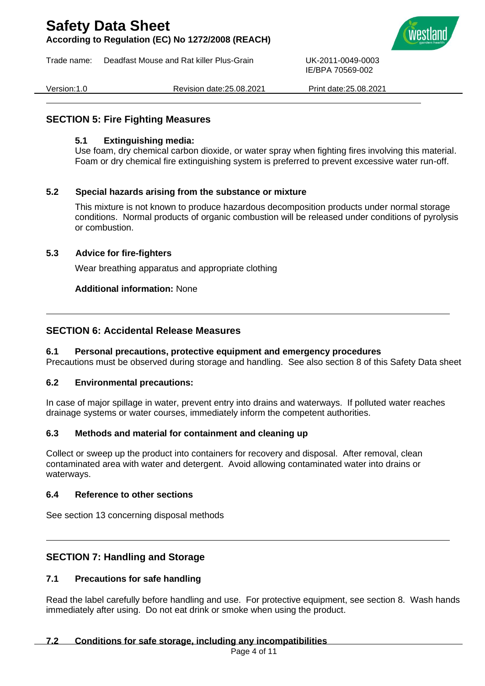**According to Regulation (EC) No 1272/2008 (REACH)**

Trade name: Deadfast Mouse and Rat killer Plus-Grain UK-2011-0049-0003



Version:1.0 Revision date:25.08.2021 Print date:25.08.2021

IE/BPA 70569-002

### **SECTION 5: Fire Fighting Measures**

### **5.1 Extinguishing media:**

Use foam, dry chemical carbon dioxide, or water spray when fighting fires involving this material. Foam or dry chemical fire extinguishing system is preferred to prevent excessive water run-off.

### **5.2 Special hazards arising from the substance or mixture**

This mixture is not known to produce hazardous decomposition products under normal storage conditions. Normal products of organic combustion will be released under conditions of pyrolysis or combustion.

### **5.3 Advice for fire-fighters**

Wear breathing apparatus and appropriate clothing

### **Additional information:** None

### **SECTION 6: Accidental Release Measures**

### **6.1 Personal precautions, protective equipment and emergency procedures**

Precautions must be observed during storage and handling. See also section 8 of this Safety Data sheet

### **6.2 Environmental precautions:**

In case of major spillage in water, prevent entry into drains and waterways. If polluted water reaches drainage systems or water courses, immediately inform the competent authorities.

### **6.3 Methods and material for containment and cleaning up**

Collect or sweep up the product into containers for recovery and disposal. After removal, clean contaminated area with water and detergent. Avoid allowing contaminated water into drains or waterways.

### **6.4 Reference to other sections**

See section 13 concerning disposal methods

### **SECTION 7: Handling and Storage**

### **7.1 Precautions for safe handling**

Read the label carefully before handling and use. For protective equipment, see section 8. Wash hands immediately after using. Do not eat drink or smoke when using the product.

### **7.2 Conditions for safe storage, including any incompatibilities**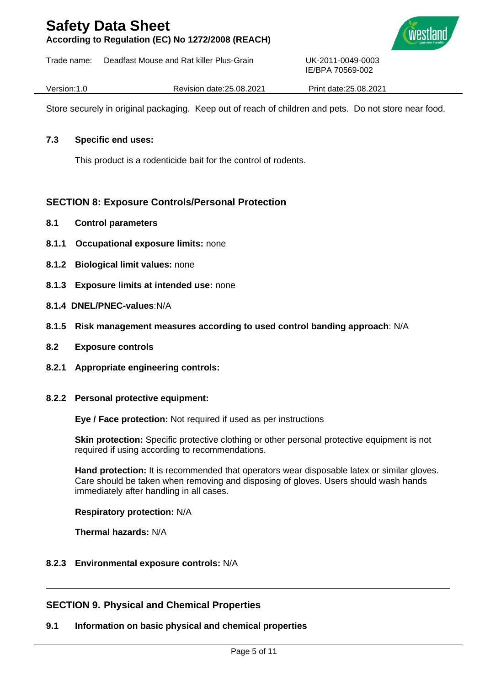**According to Regulation (EC) No 1272/2008 (REACH)**

Trade name: Deadfast Mouse and Rat killer Plus-Grain UK-2011-0049-0003



Version:1.0 Revision date:25.08.2021 Print date:25.08.2021

IE/BPA 70569-002

Store securely in original packaging. Keep out of reach of children and pets. Do not store near food.

### **7.3 Specific end uses:**

This product is a rodenticide bait for the control of rodents.

### **SECTION 8: Exposure Controls/Personal Protection**

- **8.1 Control parameters**
- **8.1.1 Occupational exposure limits:** none
- **8.1.2 Biological limit values:** none
- **8.1.3 Exposure limits at intended use:** none
- **8.1.4 DNEL/PNEC-values**:N/A
- **8.1.5 Risk management measures according to used control banding approach**: N/A
- **8.2 Exposure controls**
- **8.2.1 Appropriate engineering controls:**
- **8.2.2 Personal protective equipment:**

**Eye / Face protection:** Not required if used as per instructions

**Skin protection:** Specific protective clothing or other personal protective equipment is not required if using according to recommendations.

**Hand protection:** It is recommended that operators wear disposable latex or similar gloves. Care should be taken when removing and disposing of gloves. Users should wash hands immediately after handling in all cases.

**Respiratory protection:** N/A

**Thermal hazards:** N/A

**8.2.3 Environmental exposure controls:** N/A

### **SECTION 9. Physical and Chemical Properties**

### **9.1 Information on basic physical and chemical properties**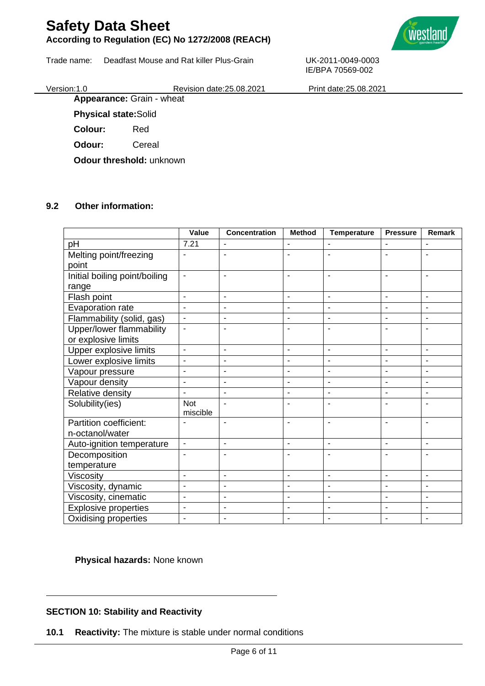### **According to Regulation (EC) No 1272/2008 (REACH)**

Trade name: Deadfast Mouse and Rat killer Plus-Grain UK-2011-0049-0003



IE/BPA 70569-002 Version:1.0 Revision date:25.08.2021 Print date:25.08.2021

**Appearance:** Grain - wheat

**Physical state:**Solid

**Colour:** Red

**Odour:** Cereal

**Odour threshold:** unknown

### **9.2 Other information:**

|                               | Value                        | <b>Concentration</b>     | <b>Method</b>                | <b>Temperature</b>       | <b>Pressure</b>          | Remark                   |
|-------------------------------|------------------------------|--------------------------|------------------------------|--------------------------|--------------------------|--------------------------|
| pH                            | 7.21                         | $\blacksquare$           | ٠                            |                          | $\blacksquare$           | $\overline{\phantom{a}}$ |
| Melting point/freezing        | ٠                            |                          |                              |                          |                          |                          |
| point                         |                              |                          |                              |                          |                          |                          |
| Initial boiling point/boiling | $\qquad \qquad \blacksquare$ | $\blacksquare$           | $\qquad \qquad \blacksquare$ | $\blacksquare$           | $\overline{\phantom{a}}$ | $\overline{\phantom{a}}$ |
| range                         |                              |                          |                              |                          |                          |                          |
| Flash point                   | ÷,                           | $\blacksquare$           | $\overline{\phantom{a}}$     | $\mathbf{r}$             | $\blacksquare$           | ÷,                       |
| Evaporation rate              | $\blacksquare$               | $\blacksquare$           | $\overline{\phantom{a}}$     | $\blacksquare$           | $\blacksquare$           | $\blacksquare$           |
| Flammability (solid, gas)     | $\blacksquare$               | $\blacksquare$           | $\overline{\phantom{a}}$     |                          | $\blacksquare$           |                          |
| Upper/lower flammability      | $\overline{a}$               | $\blacksquare$           | ÷                            | $\overline{a}$           | L,                       | ä,                       |
| or explosive limits           |                              |                          |                              |                          |                          |                          |
| Upper explosive limits        | ÷,                           | $\blacksquare$           | ÷,                           | $\mathbf{r}$             | $\overline{a}$           | $\overline{a}$           |
| Lower explosive limits        | $\overline{\phantom{a}}$     | $\blacksquare$           | $\overline{\phantom{a}}$     | $\blacksquare$           | $\blacksquare$           | $\blacksquare$           |
| Vapour pressure               | $\blacksquare$               | $\blacksquare$           | $\overline{\phantom{a}}$     | $\blacksquare$           | $\blacksquare$           | $\blacksquare$           |
| Vapour density                | $\overline{\phantom{a}}$     | $\blacksquare$           | $\overline{\phantom{a}}$     | $\blacksquare$           | $\blacksquare$           | $\blacksquare$           |
| Relative density              | ä,                           | $\blacksquare$           | $\blacksquare$               | $\blacksquare$           | $\blacksquare$           | $\sim$                   |
| Solubility(ies)               | <b>Not</b>                   | $\overline{\phantom{a}}$ | $\overline{\phantom{a}}$     | ٠                        | $\blacksquare$           | ۰                        |
|                               | miscible                     |                          |                              |                          |                          |                          |
| Partition coefficient:        |                              |                          |                              |                          |                          | $\overline{\phantom{a}}$ |
| n-octanol/water               |                              |                          |                              |                          |                          |                          |
| Auto-ignition temperature     | $\blacksquare$               | $\overline{\phantom{a}}$ | $\blacksquare$               | $\overline{\phantom{a}}$ | $\overline{\phantom{a}}$ | $\overline{\phantom{a}}$ |
| Decomposition                 | ٠                            |                          |                              |                          |                          |                          |
| temperature                   |                              |                          |                              |                          |                          |                          |
| Viscosity                     | $\blacksquare$               | $\blacksquare$           | $\blacksquare$               | $\blacksquare$           | $\overline{\phantom{a}}$ | $\overline{\phantom{a}}$ |
| Viscosity, dynamic            | L,                           | $\blacksquare$           | $\blacksquare$               |                          | $\overline{a}$           |                          |
| Viscosity, cinematic          | ä,                           | $\blacksquare$           | $\blacksquare$               | $\blacksquare$           | $\blacksquare$           | $\overline{\phantom{a}}$ |
| <b>Explosive properties</b>   | $\overline{\phantom{a}}$     | $\blacksquare$           | $\overline{\phantom{a}}$     | $\blacksquare$           | $\blacksquare$           | $\blacksquare$           |
| Oxidising properties          | ٠                            | $\blacksquare$           |                              |                          |                          |                          |

**Physical hazards:** None known

### **SECTION 10: Stability and Reactivity**

**10.1 Reactivity:** The mixture is stable under normal conditions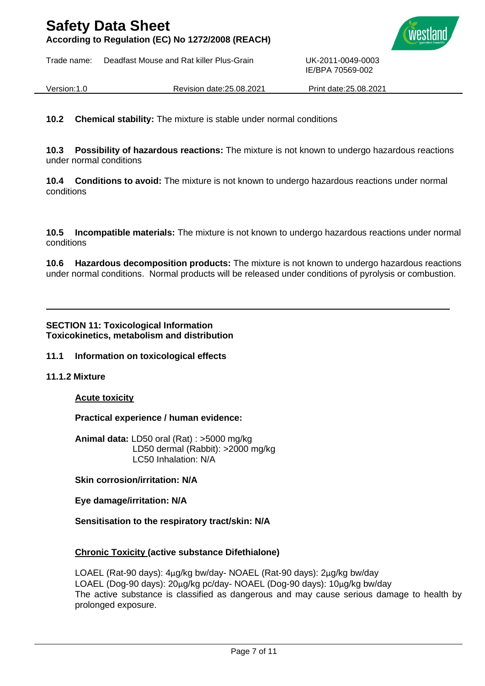**According to Regulation (EC) No 1272/2008 (REACH)**

Trade name: Deadfast Mouse and Rat killer Plus-Grain UK-2011-0049-0003



IE/BPA 70569-002

Version:1.0 Revision date:25.08.2021 Print date:25.08.2021

**10.2 Chemical stability:** The mixture is stable under normal conditions

**10.3 Possibility of hazardous reactions:** The mixture is not known to undergo hazardous reactions under normal conditions

**10.4 Conditions to avoid:** The mixture is not known to undergo hazardous reactions under normal conditions

**10.5 Incompatible materials:** The mixture is not known to undergo hazardous reactions under normal conditions

**10.6 Hazardous decomposition products:** The mixture is not known to undergo hazardous reactions under normal conditions. Normal products will be released under conditions of pyrolysis or combustion.

### **SECTION 11: Toxicological Information Toxicokinetics, metabolism and distribution**

### **11.1 Information on toxicological effects**

### **11.1.2 Mixture**

### **Acute toxicity**

**Practical experience / human evidence:**

**Animal data:** LD50 oral (Rat) : >5000 mg/kg LD50 dermal (Rabbit): >2000 mg/kg LC50 Inhalation: N/A

### **Skin corrosion/irritation: N/A**

**Eye damage/irritation: N/A**

**Sensitisation to the respiratory tract/skin: N/A**

### **Chronic Toxicity (active substance Difethialone)**

LOAEL (Rat-90 days): 4μg/kg bw/day- NOAEL (Rat-90 days): 2μg/kg bw/day LOAEL (Dog-90 days): 20μg/kg pc/day- NOAEL (Dog-90 days): 10μg/kg bw/day The active substance is classified as dangerous and may cause serious damage to health by prolonged exposure.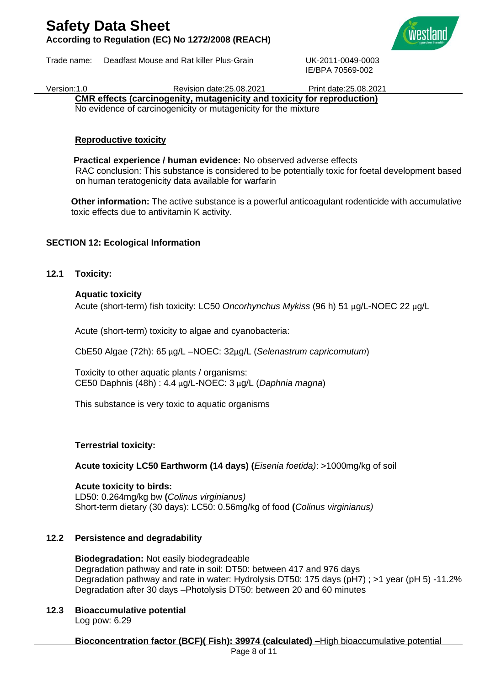## **Safety Data Sheet According to Regulation (EC) No 1272/2008 (REACH)**

Trade name: Deadfast Mouse and Rat killer Plus-Grain UK-2011-0049-0003



IE/BPA 70569-002

Version:1.0 Revision date:25.08.2021 Print date:25.08.2021

**CMR effects (carcinogenity, mutagenicity and toxicity for reproduction)**

No evidence of carcinogenicity or mutagenicity for the mixture

### **Reproductive toxicity**

 **Practical experience / human evidence:** No observed adverse effects RAC conclusion: This substance is considered to be potentially toxic for foetal development based on human teratogenicity data available for warfarin

**Other information:** The active substance is a powerful anticoagulant rodenticide with accumulative toxic effects due to antivitamin K activity.

### **SECTION 12: Ecological Information**

**12.1 Toxicity:**

### **Aquatic toxicity**

Acute (short-term) fish toxicity: LC50 *Oncorhynchus Mykiss* (96 h) 51 μg/L-NOEC 22 μg/L

Acute (short-term) toxicity to algae and cyanobacteria:

CbE50 Algae (72h): 65 μg/L –NOEC: 32μg/L (*Selenastrum capricornutum*)

Toxicity to other aquatic plants / organisms: CE50 Daphnis (48h) : 4.4 μg/L-NOEC: 3 μg/L (*Daphnia magna*)

This substance is very toxic to aquatic organisms

### **Terrestrial toxicity:**

**Acute toxicity LC50 Earthworm (14 days) (***Eisenia foetida)*: >1000mg/kg of soil

**Acute toxicity to birds:**  LD50: 0.264mg/kg bw **(***Colinus virginianus)* Short-term dietary (30 days): LC50: 0.56mg/kg of food **(***Colinus virginianus)*

### **12.2 Persistence and degradability**

**Biodegradation:** Not easily biodegradeable Degradation pathway and rate in soil: DT50: between 417 and 976 days Degradation pathway and rate in water: Hydrolysis DT50: 175 days (pH7) ; >1 year (pH 5) -11.2% Degradation after 30 days –Photolysis DT50: between 20 and 60 minutes

**12.3 Bioaccumulative potential** Log pow: 6.29

**Bioconcentration factor (BCF)( Fish): 39974 (calculated) –**High bioaccumulative potential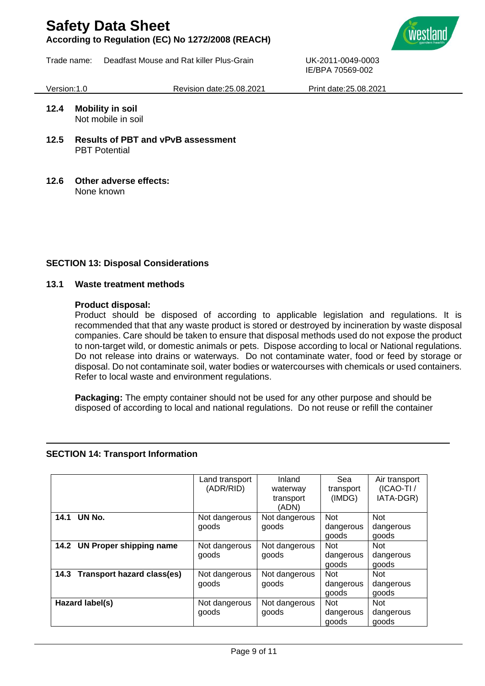**According to Regulation (EC) No 1272/2008 (REACH)**

Trade name: Deadfast Mouse and Rat killer Plus-Grain UK-2011-0049-0003



Version:1.0 Revision date:25.08.2021 Print date:25.08.2021

IE/BPA 70569-002

### **12.4 Mobility in soil** Not mobile in soil

- **12.5 Results of PBT and vPvB assessment** PBT Potential
- **12.6 Other adverse effects:** None known

### **SECTION 13: Disposal Considerations**

### **13.1 Waste treatment methods**

### **Product disposal:**

Product should be disposed of according to applicable legislation and regulations. It is recommended that that any waste product is stored or destroyed by incineration by waste disposal companies. Care should be taken to ensure that disposal methods used do not expose the product to non-target wild, or domestic animals or pets. Dispose according to local or National regulations. Do not release into drains or waterways. Do not contaminate water, food or feed by storage or disposal. Do not contaminate soil, water bodies or watercourses with chemicals or used containers. Refer to local waste and environment regulations.

**Packaging:** The empty container should not be used for any other purpose and should be disposed of according to local and national regulations. Do not reuse or refill the container

### **SECTION 14: Transport Information**

|                                           | Land transport | Inland        | Sea        | Air transport |
|-------------------------------------------|----------------|---------------|------------|---------------|
|                                           | (ADR/RID)      | waterway      | transport  |               |
|                                           |                | transport     | (IMDG)     |               |
|                                           |                | (ADN)         |            |               |
| UN No.<br>14.1                            | Not dangerous  | Not dangerous | <b>Not</b> | <b>Not</b>    |
|                                           | goods          | goods         | dangerous  | dangerous     |
|                                           |                |               | goods      | goods         |
| 14.2 UN Proper shipping name              | Not dangerous  | Not dangerous | <b>Not</b> | <b>Not</b>    |
|                                           | goods          | goods         | dangerous  | dangerous     |
|                                           |                |               | goods      | goods         |
| <b>Transport hazard class(es)</b><br>14.3 | Not dangerous  | Not dangerous | <b>Not</b> | <b>Not</b>    |
|                                           | goods          | goods         | dangerous  | dangerous     |
|                                           |                |               | goods      | goods         |
| Hazard label(s)                           | Not dangerous  | Not dangerous | <b>Not</b> | <b>Not</b>    |
|                                           | goods          | goods         | dangerous  | dangerous     |
|                                           |                |               | goods      | goods         |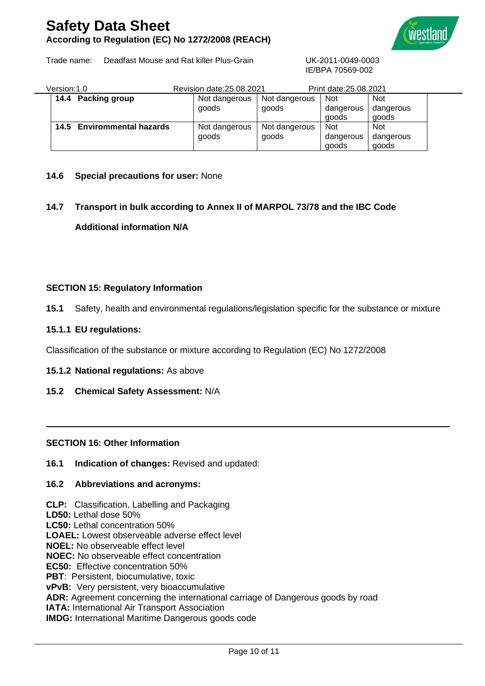## **Safety Data Sheet According to Regulation (EC) No 1272/2008 (REACH)**



Trade name: Deadfast Mouse and Rat killer Plus-Grain UK-2011-0049-0003

IE/BPA 70569-002

| Version:1.0 |                            | Revision date: 25,08,2021 |                        | Print date: 25,08,2021           |                                  |  |
|-------------|----------------------------|---------------------------|------------------------|----------------------------------|----------------------------------|--|
|             | 14.4 Packing group         | Not dangerous<br>goods    | Not dangerous<br>goods | <b>Not</b><br>dangerous<br>goods | <b>Not</b><br>dangerous<br>goods |  |
|             | 14.5 Envirommental hazards | Not dangerous<br>goods    | Not dangerous<br>goods | <b>Not</b><br>dangerous<br>goods | <b>Not</b><br>dangerous<br>goods |  |

### **14.6 Special precautions for user:** None

## **14.7 Transport in bulk according to Annex II of MARPOL 73/78 and the IBC Code Additional information N/A**

### **SECTION 15: Regulatory Information**

**15.1** Safety, health and environmental regulations/legislation specific for the substance or mixture

### **15.1.1 EU regulations:**

Classification of the substance or mixture according to Regulation (EC) No 1272/2008

#### **15.1.2 National regulations:** As above

**15.2 Chemical Safety Assessment:** N/A

#### **SECTION 16: Other Information**

**16.1 Indication of changes:** Revised and updated:

#### **16.2 Abbreviations and acronyms:**

**CLP:** Classification, Labelling and Packaging **LD50:** Lethal dose 50% **LC50:** Lethal concentration 50% **LOAEL:** Lowest observeable adverse effect level **NOEL:** No observeable effect level **NOEC:** No observeable effect concentration **EC50:** Effective concentration 50% **PBT: Persistent, biocumulative, toxic vPvB:** Very persistent, very bioaccumulative **ADR:** Agreement concerning the international carriage of Dangerous goods by road **IATA: International Air Transport Association** 

**IMDG:** International Maritime Dangerous goods code